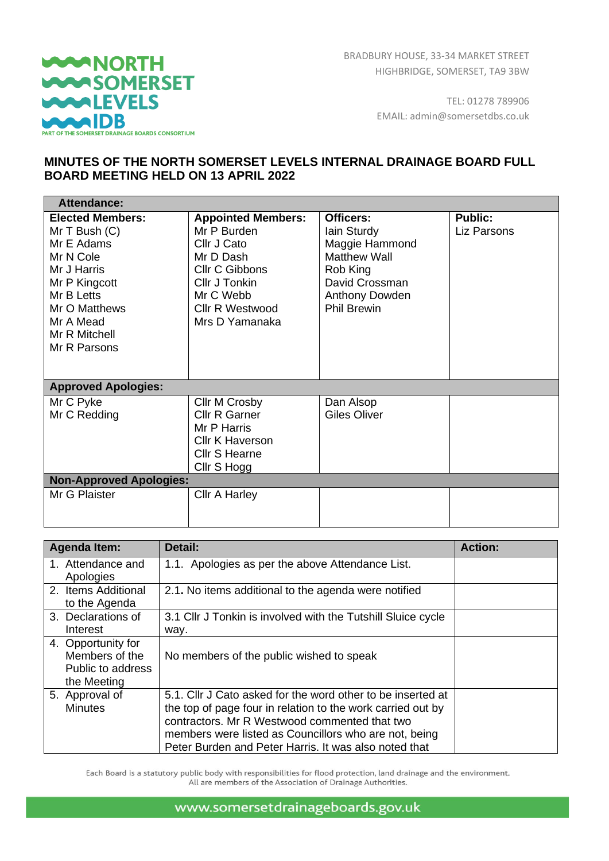

 $\overline{a}$ 

BRADBURY HOUSE, 33-34 MARKET STREET HIGHBRIDGE, SOMERSET, TA9 3BW

> TEL: 01278 789906 EMAIL: admin@somersetdbs.co.uk

## **MINUTES OF THE NORTH SOMERSET LEVELS INTERNAL DRAINAGE BOARD FULL BOARD MEETING HELD ON 13 APRIL 2022**

| <b>Attendance:</b>                                                                                                                                                                  |                                                                                                                                                                  |                                                                                                                                         |                               |
|-------------------------------------------------------------------------------------------------------------------------------------------------------------------------------------|------------------------------------------------------------------------------------------------------------------------------------------------------------------|-----------------------------------------------------------------------------------------------------------------------------------------|-------------------------------|
| <b>Elected Members:</b><br>$MrT$ Bush $(C)$<br>Mr E Adams<br>Mr N Cole<br>Mr J Harris<br>Mr P Kingcott<br>Mr B Letts<br>Mr O Matthews<br>Mr A Mead<br>Mr R Mitchell<br>Mr R Parsons | <b>Appointed Members:</b><br>Mr P Burden<br>Cllr J Cato<br>Mr D Dash<br><b>CIIr C Gibbons</b><br>Cllr J Tonkin<br>Mr C Webb<br>Cllr R Westwood<br>Mrs D Yamanaka | Officers:<br>lain Sturdy<br>Maggie Hammond<br><b>Matthew Wall</b><br>Rob King<br>David Crossman<br>Anthony Dowden<br><b>Phil Brewin</b> | <b>Public:</b><br>Liz Parsons |
| <b>Approved Apologies:</b>                                                                                                                                                          |                                                                                                                                                                  |                                                                                                                                         |                               |
| Mr C Pyke<br>Mr C Redding                                                                                                                                                           | Cllr M Crosby<br><b>Cllr R Garner</b><br>Mr P Harris<br><b>Cllr K Haverson</b><br>Cllr S Hearne<br>Cllr S Hogg                                                   | Dan Alsop<br><b>Giles Oliver</b>                                                                                                        |                               |
| <b>Non-Approved Apologies:</b>                                                                                                                                                      |                                                                                                                                                                  |                                                                                                                                         |                               |
| Mr G Plaister                                                                                                                                                                       | Cllr A Harley                                                                                                                                                    |                                                                                                                                         |                               |

| <b>Agenda Item:</b> | Detail:                                                      | <b>Action:</b> |
|---------------------|--------------------------------------------------------------|----------------|
| 1. Attendance and   | 1.1. Apologies as per the above Attendance List.             |                |
| Apologies           |                                                              |                |
| 2. Items Additional | 2.1. No items additional to the agenda were notified         |                |
| to the Agenda       |                                                              |                |
| 3. Declarations of  | 3.1 Cllr J Tonkin is involved with the Tutshill Sluice cycle |                |
| Interest            | way.                                                         |                |
| 4. Opportunity for  |                                                              |                |
| Members of the      | No members of the public wished to speak                     |                |
| Public to address   |                                                              |                |
| the Meeting         |                                                              |                |
| 5. Approval of      | 5.1. Cllr J Cato asked for the word other to be inserted at  |                |
| <b>Minutes</b>      | the top of page four in relation to the work carried out by  |                |
|                     | contractors. Mr R Westwood commented that two                |                |
|                     | members were listed as Councillors who are not, being        |                |
|                     | Peter Burden and Peter Harris. It was also noted that        |                |

Each Board is a statutory public body with responsibilities for flood protection, land drainage and the environment. All are members of the Association of Drainage Authorities.

www.somersetdrainageboards.gov.uk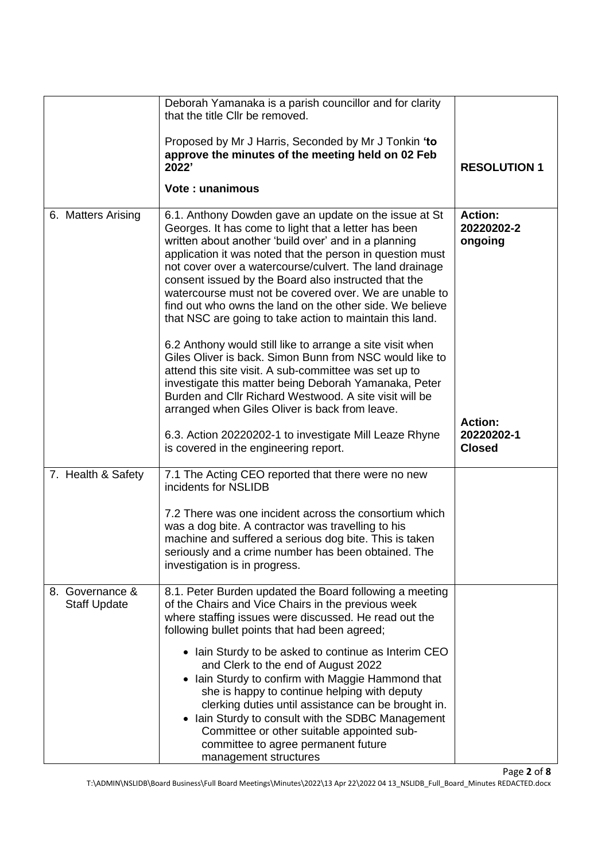|                                        | Deborah Yamanaka is a parish councillor and for clarity<br>that the title CIIr be removed.                                                                                                                                                                                                                                                                                                                                                                                                                                              |                                               |
|----------------------------------------|-----------------------------------------------------------------------------------------------------------------------------------------------------------------------------------------------------------------------------------------------------------------------------------------------------------------------------------------------------------------------------------------------------------------------------------------------------------------------------------------------------------------------------------------|-----------------------------------------------|
|                                        | Proposed by Mr J Harris, Seconded by Mr J Tonkin 'to<br>approve the minutes of the meeting held on 02 Feb<br>2022'                                                                                                                                                                                                                                                                                                                                                                                                                      | <b>RESOLUTION 1</b>                           |
|                                        | <b>Vote: unanimous</b>                                                                                                                                                                                                                                                                                                                                                                                                                                                                                                                  |                                               |
| 6. Matters Arising                     | 6.1. Anthony Dowden gave an update on the issue at St<br>Georges. It has come to light that a letter has been<br>written about another 'build over' and in a planning<br>application it was noted that the person in question must<br>not cover over a watercourse/culvert. The land drainage<br>consent issued by the Board also instructed that the<br>watercourse must not be covered over. We are unable to<br>find out who owns the land on the other side. We believe<br>that NSC are going to take action to maintain this land. | <b>Action:</b><br>20220202-2<br>ongoing       |
|                                        | 6.2 Anthony would still like to arrange a site visit when<br>Giles Oliver is back. Simon Bunn from NSC would like to<br>attend this site visit. A sub-committee was set up to<br>investigate this matter being Deborah Yamanaka, Peter<br>Burden and CIIr Richard Westwood. A site visit will be<br>arranged when Giles Oliver is back from leave.                                                                                                                                                                                      |                                               |
|                                        | 6.3. Action 20220202-1 to investigate Mill Leaze Rhyne<br>is covered in the engineering report.                                                                                                                                                                                                                                                                                                                                                                                                                                         | <b>Action:</b><br>20220202-1<br><b>Closed</b> |
| 7. Health & Safety                     | 7.1 The Acting CEO reported that there were no new<br>incidents for NSLIDB                                                                                                                                                                                                                                                                                                                                                                                                                                                              |                                               |
|                                        | 7.2 There was one incident across the consortium which<br>was a dog bite. A contractor was travelling to his<br>machine and suffered a serious dog bite. This is taken<br>seriously and a crime number has been obtained. The<br>investigation is in progress.                                                                                                                                                                                                                                                                          |                                               |
| 8. Governance &<br><b>Staff Update</b> | 8.1. Peter Burden updated the Board following a meeting<br>of the Chairs and Vice Chairs in the previous week<br>where staffing issues were discussed. He read out the<br>following bullet points that had been agreed;                                                                                                                                                                                                                                                                                                                 |                                               |
|                                        | • Iain Sturdy to be asked to continue as Interim CEO<br>and Clerk to the end of August 2022<br>• Iain Sturdy to confirm with Maggie Hammond that<br>she is happy to continue helping with deputy<br>clerking duties until assistance can be brought in.<br>• Iain Sturdy to consult with the SDBC Management<br>Committee or other suitable appointed sub-<br>committee to agree permanent future<br>management structures                                                                                                              |                                               |

Page **2** of **8**

T:\ADMIN\NSLIDB\Board Business\Full Board Meetings\Minutes\2022\13 Apr 22\2022 04 13\_NSLIDB\_Full\_Board\_Minutes REDACTED.docx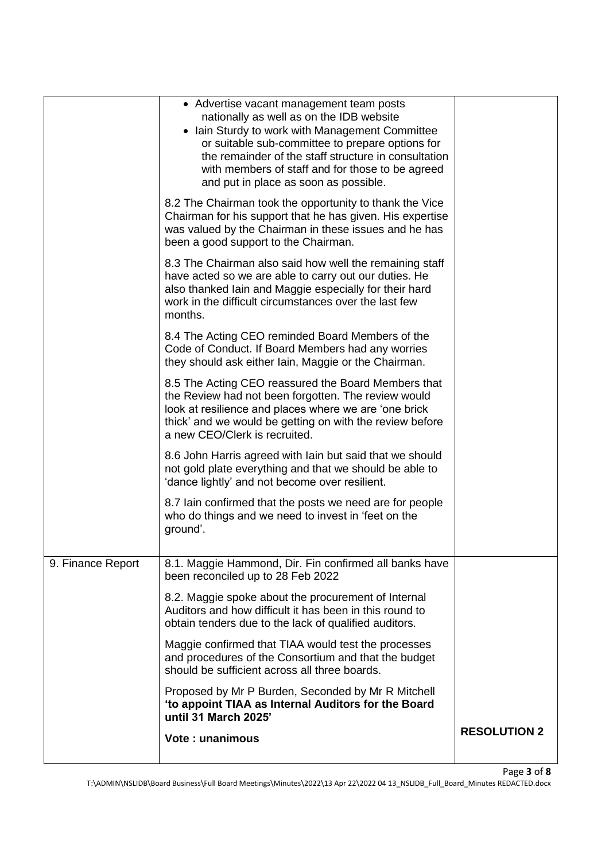|                   | • Advertise vacant management team posts<br>nationally as well as on the IDB website<br>• Iain Sturdy to work with Management Committee<br>or suitable sub-committee to prepare options for<br>the remainder of the staff structure in consultation<br>with members of staff and for those to be agreed<br>and put in place as soon as possible. |                     |
|-------------------|--------------------------------------------------------------------------------------------------------------------------------------------------------------------------------------------------------------------------------------------------------------------------------------------------------------------------------------------------|---------------------|
|                   | 8.2 The Chairman took the opportunity to thank the Vice<br>Chairman for his support that he has given. His expertise<br>was valued by the Chairman in these issues and he has<br>been a good support to the Chairman.                                                                                                                            |                     |
|                   | 8.3 The Chairman also said how well the remaining staff<br>have acted so we are able to carry out our duties. He<br>also thanked lain and Maggie especially for their hard<br>work in the difficult circumstances over the last few<br>months.                                                                                                   |                     |
|                   | 8.4 The Acting CEO reminded Board Members of the<br>Code of Conduct. If Board Members had any worries<br>they should ask either Iain, Maggie or the Chairman.                                                                                                                                                                                    |                     |
|                   | 8.5 The Acting CEO reassured the Board Members that<br>the Review had not been forgotten. The review would<br>look at resilience and places where we are 'one brick<br>thick' and we would be getting on with the review before<br>a new CEO/Clerk is recruited.                                                                                 |                     |
|                   | 8.6 John Harris agreed with lain but said that we should<br>not gold plate everything and that we should be able to<br>'dance lightly' and not become over resilient.                                                                                                                                                                            |                     |
|                   | 8.7 lain confirmed that the posts we need are for people<br>who do things and we need to invest in 'feet on the<br>ground'.                                                                                                                                                                                                                      |                     |
| 9. Finance Report | 8.1. Maggie Hammond, Dir. Fin confirmed all banks have<br>been reconciled up to 28 Feb 2022                                                                                                                                                                                                                                                      |                     |
|                   | 8.2. Maggie spoke about the procurement of Internal<br>Auditors and how difficult it has been in this round to<br>obtain tenders due to the lack of qualified auditors.                                                                                                                                                                          |                     |
|                   | Maggie confirmed that TIAA would test the processes<br>and procedures of the Consortium and that the budget<br>should be sufficient across all three boards.                                                                                                                                                                                     |                     |
|                   | Proposed by Mr P Burden, Seconded by Mr R Mitchell<br>'to appoint TIAA as Internal Auditors for the Board<br>until 31 March 2025'                                                                                                                                                                                                                |                     |
|                   | <b>Vote: unanimous</b>                                                                                                                                                                                                                                                                                                                           | <b>RESOLUTION 2</b> |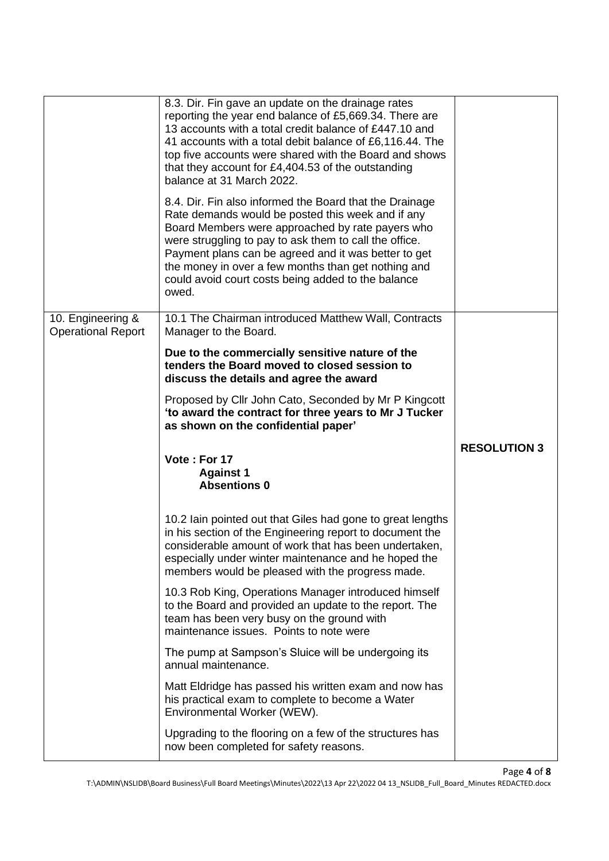|                           | 8.3. Dir. Fin gave an update on the drainage rates<br>reporting the year end balance of £5,669.34. There are<br>13 accounts with a total credit balance of £447.10 and<br>41 accounts with a total debit balance of £6,116.44. The<br>top five accounts were shared with the Board and shows<br>that they account for £4,404.53 of the outstanding<br>balance at 31 March 2022.<br>8.4. Dir. Fin also informed the Board that the Drainage<br>Rate demands would be posted this week and if any<br>Board Members were approached by rate payers who<br>were struggling to pay to ask them to call the office.<br>Payment plans can be agreed and it was better to get<br>the money in over a few months than get nothing and<br>could avoid court costs being added to the balance |                     |
|---------------------------|------------------------------------------------------------------------------------------------------------------------------------------------------------------------------------------------------------------------------------------------------------------------------------------------------------------------------------------------------------------------------------------------------------------------------------------------------------------------------------------------------------------------------------------------------------------------------------------------------------------------------------------------------------------------------------------------------------------------------------------------------------------------------------|---------------------|
| 10. Engineering &         | owed.<br>10.1 The Chairman introduced Matthew Wall, Contracts                                                                                                                                                                                                                                                                                                                                                                                                                                                                                                                                                                                                                                                                                                                      |                     |
| <b>Operational Report</b> | Manager to the Board.                                                                                                                                                                                                                                                                                                                                                                                                                                                                                                                                                                                                                                                                                                                                                              |                     |
|                           | Due to the commercially sensitive nature of the<br>tenders the Board moved to closed session to<br>discuss the details and agree the award                                                                                                                                                                                                                                                                                                                                                                                                                                                                                                                                                                                                                                         |                     |
|                           | Proposed by Cllr John Cato, Seconded by Mr P Kingcott<br>'to award the contract for three years to Mr J Tucker<br>as shown on the confidential paper'                                                                                                                                                                                                                                                                                                                                                                                                                                                                                                                                                                                                                              |                     |
|                           |                                                                                                                                                                                                                                                                                                                                                                                                                                                                                                                                                                                                                                                                                                                                                                                    |                     |
|                           | Vote: For 17<br><b>Against 1</b><br><b>Absentions 0</b>                                                                                                                                                                                                                                                                                                                                                                                                                                                                                                                                                                                                                                                                                                                            | <b>RESOLUTION 3</b> |
|                           | 10.2 Iain pointed out that Giles had gone to great lengths<br>in his section of the Engineering report to document the<br>considerable amount of work that has been undertaken,<br>especially under winter maintenance and he hoped the<br>members would be pleased with the progress made.                                                                                                                                                                                                                                                                                                                                                                                                                                                                                        |                     |
|                           | 10.3 Rob King, Operations Manager introduced himself<br>to the Board and provided an update to the report. The<br>team has been very busy on the ground with<br>maintenance issues. Points to note were                                                                                                                                                                                                                                                                                                                                                                                                                                                                                                                                                                            |                     |
|                           | The pump at Sampson's Sluice will be undergoing its<br>annual maintenance.                                                                                                                                                                                                                                                                                                                                                                                                                                                                                                                                                                                                                                                                                                         |                     |
|                           | Matt Eldridge has passed his written exam and now has<br>his practical exam to complete to become a Water<br>Environmental Worker (WEW).                                                                                                                                                                                                                                                                                                                                                                                                                                                                                                                                                                                                                                           |                     |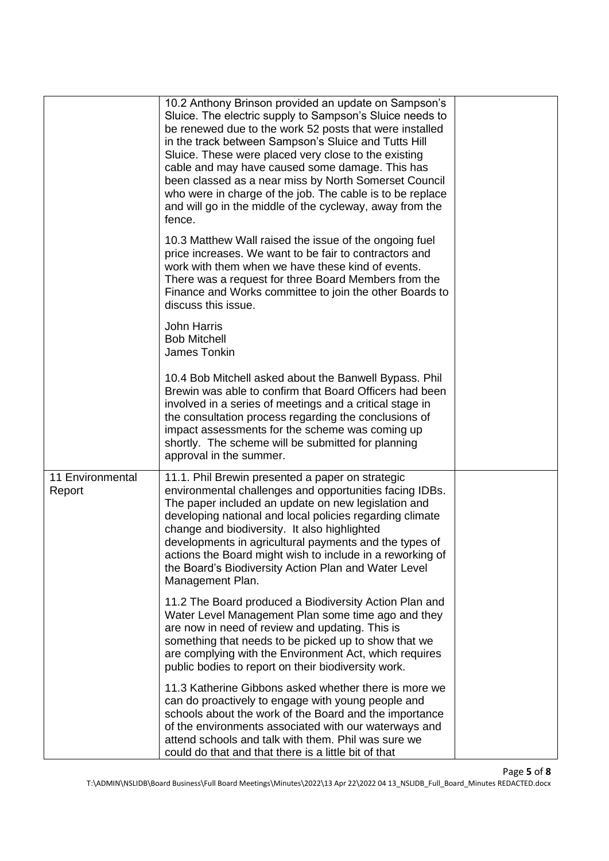|                            | 10.2 Anthony Brinson provided an update on Sampson's<br>Sluice. The electric supply to Sampson's Sluice needs to<br>be renewed due to the work 52 posts that were installed<br>in the track between Sampson's Sluice and Tutts Hill<br>Sluice. These were placed very close to the existing<br>cable and may have caused some damage. This has<br>been classed as a near miss by North Somerset Council<br>who were in charge of the job. The cable is to be replace<br>and will go in the middle of the cycleway, away from the<br>fence. |  |
|----------------------------|--------------------------------------------------------------------------------------------------------------------------------------------------------------------------------------------------------------------------------------------------------------------------------------------------------------------------------------------------------------------------------------------------------------------------------------------------------------------------------------------------------------------------------------------|--|
|                            | 10.3 Matthew Wall raised the issue of the ongoing fuel<br>price increases. We want to be fair to contractors and<br>work with them when we have these kind of events.<br>There was a request for three Board Members from the<br>Finance and Works committee to join the other Boards to<br>discuss this issue.                                                                                                                                                                                                                            |  |
|                            | <b>John Harris</b><br><b>Bob Mitchell</b><br>James Tonkin                                                                                                                                                                                                                                                                                                                                                                                                                                                                                  |  |
|                            | 10.4 Bob Mitchell asked about the Banwell Bypass. Phil<br>Brewin was able to confirm that Board Officers had been<br>involved in a series of meetings and a critical stage in<br>the consultation process regarding the conclusions of<br>impact assessments for the scheme was coming up<br>shortly. The scheme will be submitted for planning<br>approval in the summer.                                                                                                                                                                 |  |
| 11 Environmental<br>Report | 11.1. Phil Brewin presented a paper on strategic<br>environmental challenges and opportunities facing IDBs.<br>The paper included an update on new legislation and<br>developing national and local policies regarding climate<br>change and biodiversity. It also highlighted<br>developments in agricultural payments and the types of<br>actions the Board might wish to include in a reworking of<br>the Board's Biodiversity Action Plan and Water Level<br>Management Plan.                                                          |  |
|                            | 11.2 The Board produced a Biodiversity Action Plan and<br>Water Level Management Plan some time ago and they<br>are now in need of review and updating. This is<br>something that needs to be picked up to show that we<br>are complying with the Environment Act, which requires<br>public bodies to report on their biodiversity work.                                                                                                                                                                                                   |  |
|                            | 11.3 Katherine Gibbons asked whether there is more we<br>can do proactively to engage with young people and<br>schools about the work of the Board and the importance<br>of the environments associated with our waterways and<br>attend schools and talk with them. Phil was sure we<br>could do that and that there is a little bit of that                                                                                                                                                                                              |  |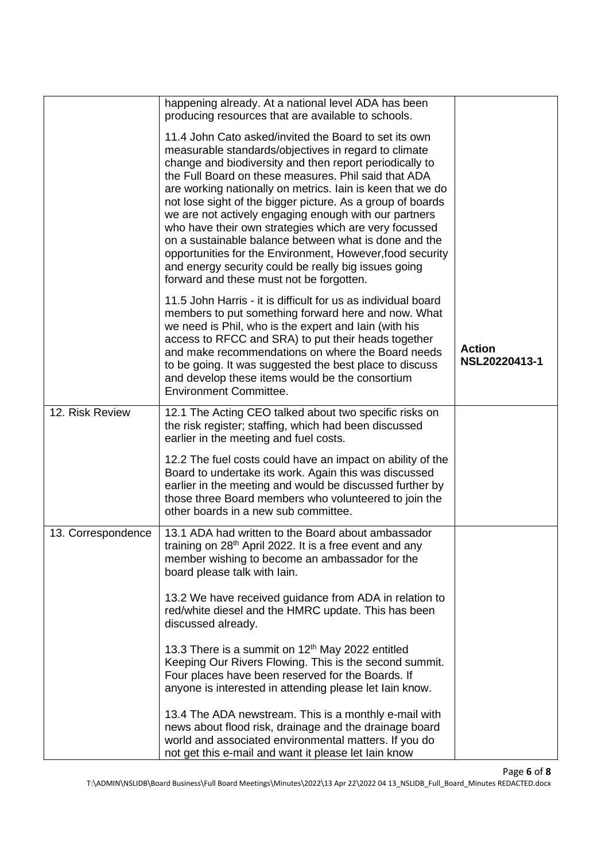|                    | happening already. At a national level ADA has been<br>producing resources that are available to schools.                                                                                                                                                                                                                                                                                                                                                                                                                                                                                                                                                                                                |                                |
|--------------------|----------------------------------------------------------------------------------------------------------------------------------------------------------------------------------------------------------------------------------------------------------------------------------------------------------------------------------------------------------------------------------------------------------------------------------------------------------------------------------------------------------------------------------------------------------------------------------------------------------------------------------------------------------------------------------------------------------|--------------------------------|
|                    | 11.4 John Cato asked/invited the Board to set its own<br>measurable standards/objectives in regard to climate<br>change and biodiversity and then report periodically to<br>the Full Board on these measures. Phil said that ADA<br>are working nationally on metrics. Iain is keen that we do<br>not lose sight of the bigger picture. As a group of boards<br>we are not actively engaging enough with our partners<br>who have their own strategies which are very focussed<br>on a sustainable balance between what is done and the<br>opportunities for the Environment, However, food security<br>and energy security could be really big issues going<br>forward and these must not be forgotten. |                                |
|                    | 11.5 John Harris - it is difficult for us as individual board<br>members to put something forward here and now. What<br>we need is Phil, who is the expert and lain (with his<br>access to RFCC and SRA) to put their heads together<br>and make recommendations on where the Board needs<br>to be going. It was suggested the best place to discuss<br>and develop these items would be the consortium<br><b>Environment Committee.</b>                                                                                                                                                                                                                                                                 | <b>Action</b><br>NSL20220413-1 |
| 12. Risk Review    | 12.1 The Acting CEO talked about two specific risks on<br>the risk register; staffing, which had been discussed<br>earlier in the meeting and fuel costs.                                                                                                                                                                                                                                                                                                                                                                                                                                                                                                                                                |                                |
|                    | 12.2 The fuel costs could have an impact on ability of the<br>Board to undertake its work. Again this was discussed<br>earlier in the meeting and would be discussed further by<br>those three Board members who volunteered to join the<br>other boards in a new sub committee.                                                                                                                                                                                                                                                                                                                                                                                                                         |                                |
| 13. Correspondence | 13.1 ADA had written to the Board about ambassador<br>training on 28 <sup>th</sup> April 2022. It is a free event and any<br>member wishing to become an ambassador for the<br>board please talk with lain.                                                                                                                                                                                                                                                                                                                                                                                                                                                                                              |                                |
|                    | 13.2 We have received guidance from ADA in relation to<br>red/white diesel and the HMRC update. This has been<br>discussed already.                                                                                                                                                                                                                                                                                                                                                                                                                                                                                                                                                                      |                                |
|                    | 13.3 There is a summit on 12 <sup>th</sup> May 2022 entitled<br>Keeping Our Rivers Flowing. This is the second summit.<br>Four places have been reserved for the Boards. If<br>anyone is interested in attending please let lain know.                                                                                                                                                                                                                                                                                                                                                                                                                                                                   |                                |
|                    | 13.4 The ADA newstream. This is a monthly e-mail with<br>news about flood risk, drainage and the drainage board<br>world and associated environmental matters. If you do<br>not get this e-mail and want it please let lain know                                                                                                                                                                                                                                                                                                                                                                                                                                                                         |                                |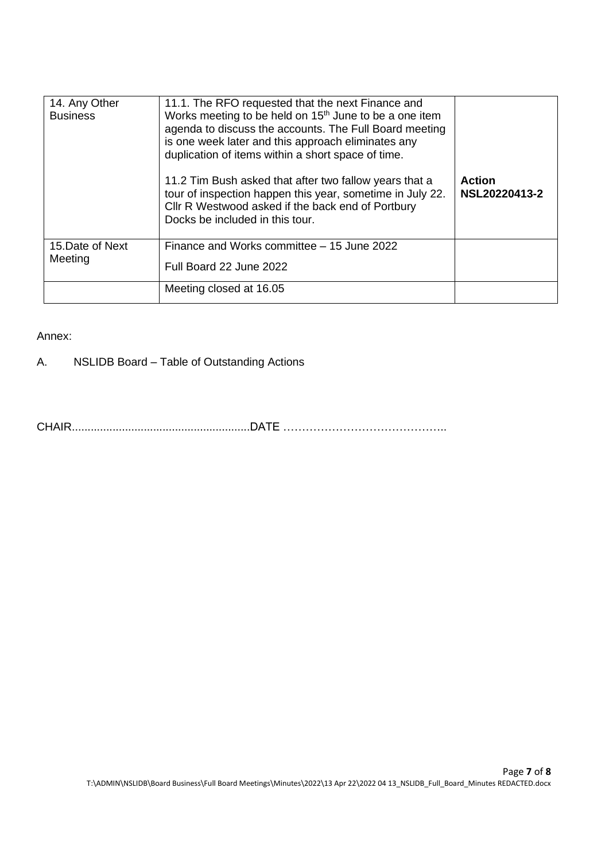| 14. Any Other<br><b>Business</b> | 11.1. The RFO requested that the next Finance and<br>Works meeting to be held on 15 <sup>th</sup> June to be a one item<br>agenda to discuss the accounts. The Full Board meeting<br>is one week later and this approach eliminates any<br>duplication of items within a short space of time.<br>11.2 Tim Bush asked that after two fallow years that a<br>tour of inspection happen this year, sometime in July 22.<br>Cllr R Westwood asked if the back end of Portbury<br>Docks be included in this tour. | <b>Action</b><br>NSL20220413-2 |
|----------------------------------|--------------------------------------------------------------------------------------------------------------------------------------------------------------------------------------------------------------------------------------------------------------------------------------------------------------------------------------------------------------------------------------------------------------------------------------------------------------------------------------------------------------|--------------------------------|
| 15. Date of Next<br>Meeting      | Finance and Works committee – 15 June 2022<br>Full Board 22 June 2022                                                                                                                                                                                                                                                                                                                                                                                                                                        |                                |
|                                  | Meeting closed at 16.05                                                                                                                                                                                                                                                                                                                                                                                                                                                                                      |                                |

## Annex:

A. NSLIDB Board – Table of Outstanding Actions

CHAIR.........................................................DATE ……………………………………..